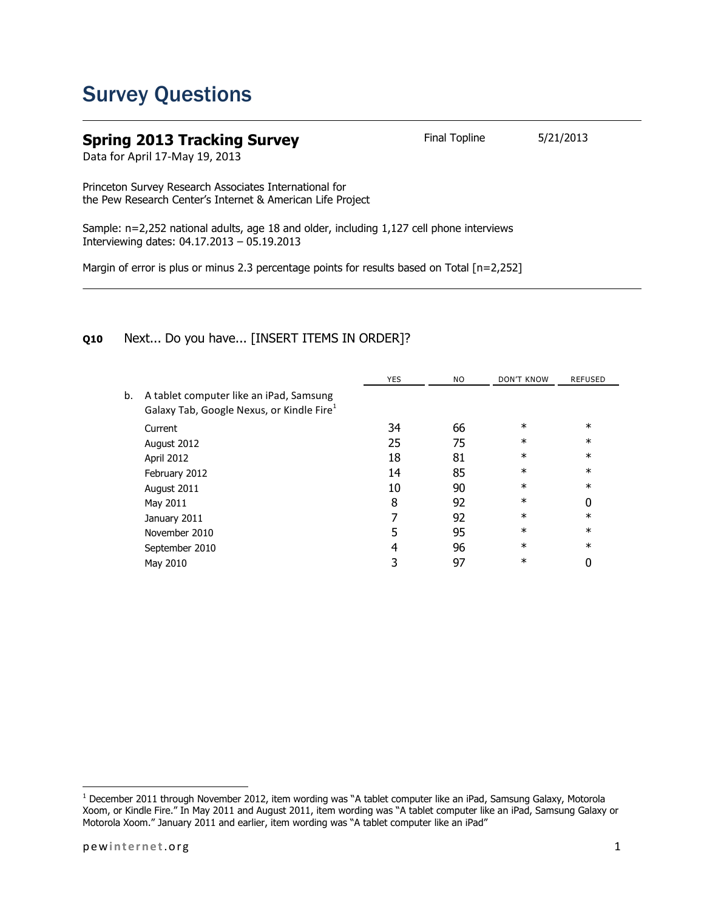## Survey Questions

## **Spring 2013 Tracking Survey** Final Topline 5/21/2013

Data for April 17-May 19, 2013

Princeton Survey Research Associates International for the Pew Research Center's Internet & American Life Project

Sample: n=2,252 national adults, age 18 and older, including 1,127 cell phone interviews Interviewing dates: 04.17.2013 – 05.19.2013

Margin of error is plus or minus 2.3 percentage points for results based on Total [n=2,252]

## **Q10** Next... Do you have... [INSERT ITEMS IN ORDER]?

|    |                                                                                                  | <b>YES</b> | NO. | <b>DON'T KNOW</b> | <b>REFUSED</b> |
|----|--------------------------------------------------------------------------------------------------|------------|-----|-------------------|----------------|
| b. | A tablet computer like an iPad, Samsung<br>Galaxy Tab, Google Nexus, or Kindle Fire <sup>1</sup> |            |     |                   |                |
|    | Current                                                                                          | 34         | 66  | $\ast$            | $\ast$         |
|    | August 2012                                                                                      | 25         | 75  | $\ast$            | $\ast$         |
|    | April 2012                                                                                       | 18         | 81  | $\ast$            | $\ast$         |
|    | February 2012                                                                                    | 14         | 85  | $\ast$            | $\ast$         |
|    | August 2011                                                                                      | 10         | 90  | $\ast$            | $\ast$         |
|    | May 2011                                                                                         | 8          | 92  | $\ast$            | 0              |
|    | January 2011                                                                                     |            | 92  | $\ast$            | $\ast$         |
|    | November 2010                                                                                    | 5          | 95  | $\ast$            | $\ast$         |
|    | September 2010                                                                                   | 4          | 96  | $\ast$            | $\ast$         |
|    | May 2010                                                                                         |            | 97  | $\ast$            | 0              |
|    |                                                                                                  |            |     |                   |                |

l

 $^1$  December 2011 through November 2012, item wording was "A tablet computer like an iPad, Samsung Galaxy, Motorola Xoom, or Kindle Fire." In May 2011 and August 2011, item wording was "A tablet computer like an iPad, Samsung Galaxy or Motorola Xoom." January 2011 and earlier, item wording was "A tablet computer like an iPad"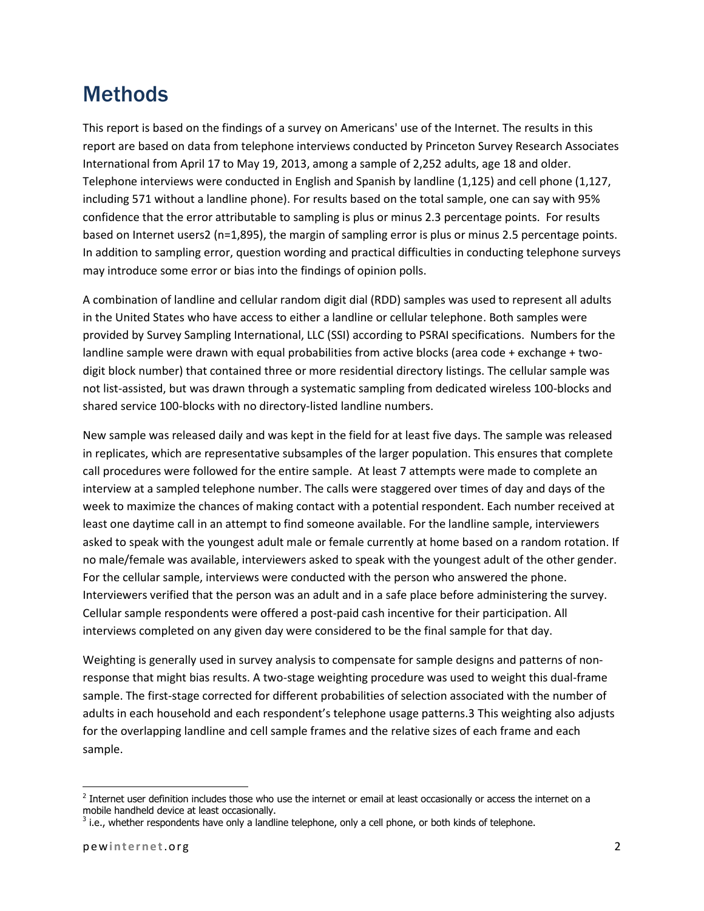## **Methods**

This report is based on the findings of a survey on Americans' use of the Internet. The results in this report are based on data from telephone interviews conducted by Princeton Survey Research Associates International from April 17 to May 19, 2013, among a sample of 2,252 adults, age 18 and older. Telephone interviews were conducted in English and Spanish by landline (1,125) and cell phone (1,127, including 571 without a landline phone). For results based on the total sample, one can say with 95% confidence that the error attributable to sampling is plus or minus 2.3 percentage points. For results based on Internet users2 (n=1,895), the margin of sampling error is plus or minus 2.5 percentage points. In addition to sampling error, question wording and practical difficulties in conducting telephone surveys may introduce some error or bias into the findings of opinion polls.

A combination of landline and cellular random digit dial (RDD) samples was used to represent all adults in the United States who have access to either a landline or cellular telephone. Both samples were provided by Survey Sampling International, LLC (SSI) according to PSRAI specifications. Numbers for the landline sample were drawn with equal probabilities from active blocks (area code + exchange + twodigit block number) that contained three or more residential directory listings. The cellular sample was not list-assisted, but was drawn through a systematic sampling from dedicated wireless 100-blocks and shared service 100-blocks with no directory-listed landline numbers.

New sample was released daily and was kept in the field for at least five days. The sample was released in replicates, which are representative subsamples of the larger population. This ensures that complete call procedures were followed for the entire sample. At least 7 attempts were made to complete an interview at a sampled telephone number. The calls were staggered over times of day and days of the week to maximize the chances of making contact with a potential respondent. Each number received at least one daytime call in an attempt to find someone available. For the landline sample, interviewers asked to speak with the youngest adult male or female currently at home based on a random rotation. If no male/female was available, interviewers asked to speak with the youngest adult of the other gender. For the cellular sample, interviews were conducted with the person who answered the phone. Interviewers verified that the person was an adult and in a safe place before administering the survey. Cellular sample respondents were offered a post-paid cash incentive for their participation. All interviews completed on any given day were considered to be the final sample for that day.

Weighting is generally used in survey analysis to compensate for sample designs and patterns of nonresponse that might bias results. A two-stage weighting procedure was used to weight this dual-frame sample. The first-stage corrected for different probabilities of selection associated with the number of adults in each household and each respondent's telephone usage patterns.3 This weighting also adjusts for the overlapping landline and cell sample frames and the relative sizes of each frame and each sample.

l

 $^2$  Internet user definition includes those who use the internet or email at least occasionally or access the internet on a mobile handheld device at least occasionally.

 $3$  i.e., whether respondents have only a landline telephone, only a cell phone, or both kinds of telephone.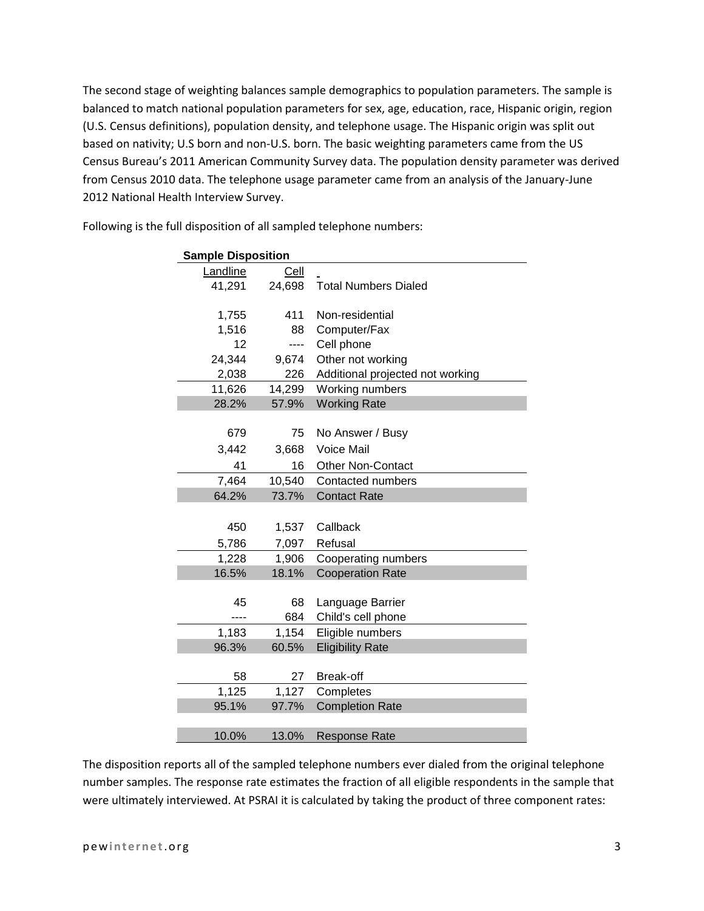The second stage of weighting balances sample demographics to population parameters. The sample is balanced to match national population parameters for sex, age, education, race, Hispanic origin, region (U.S. Census definitions), population density, and telephone usage. The Hispanic origin was split out based on nativity; U.S born and non-U.S. born. The basic weighting parameters came from the US Census Bureau's 2011 American Community Survey data. The population density parameter was derived from Census 2010 data. The telephone usage parameter came from an analysis of the January-June 2012 National Health Interview Survey.

| <b>Sample Disposition</b> |             |                                  |  |  |
|---------------------------|-------------|----------------------------------|--|--|
| Landline                  | <u>Cell</u> |                                  |  |  |
| 41,291                    | 24,698      | <b>Total Numbers Dialed</b>      |  |  |
|                           |             |                                  |  |  |
| 1,755                     | 411         | Non-residential                  |  |  |
| 1,516                     | 88          | Computer/Fax                     |  |  |
| 12                        | ----        | Cell phone                       |  |  |
| 24,344                    | 9,674       | Other not working                |  |  |
| 2,038                     | 226         | Additional projected not working |  |  |
| 11,626                    | 14,299      | Working numbers                  |  |  |
| 28.2%                     | 57.9%       | <b>Working Rate</b>              |  |  |
|                           |             |                                  |  |  |
| 679                       | 75          | No Answer / Busy                 |  |  |
| 3,442                     | 3,668       | <b>Voice Mail</b>                |  |  |
| 41                        | 16          | <b>Other Non-Contact</b>         |  |  |
| 7,464                     | 10,540      | Contacted numbers                |  |  |
| 64.2%                     | 73.7%       | <b>Contact Rate</b>              |  |  |
|                           |             |                                  |  |  |
| 450                       | 1,537       | Callback                         |  |  |
| 5,786                     | 7,097       | Refusal                          |  |  |
| 1,228                     | 1,906       | Cooperating numbers              |  |  |
| 16.5%                     | 18.1%       | <b>Cooperation Rate</b>          |  |  |
|                           |             |                                  |  |  |
| 45                        | 68          | Language Barrier                 |  |  |
| ----                      | 684         | Child's cell phone               |  |  |
| 1,183                     | 1,154       | Eligible numbers                 |  |  |
| 96.3%                     | 60.5%       | <b>Eligibility Rate</b>          |  |  |
|                           |             |                                  |  |  |
| 58                        | 27          | <b>Break-off</b>                 |  |  |
| 1,125                     | 1,127       | Completes                        |  |  |
| 95.1%                     | 97.7%       | <b>Completion Rate</b>           |  |  |
|                           |             |                                  |  |  |
| 10.0%                     | 13.0%       | <b>Response Rate</b>             |  |  |

Following is the full disposition of all sampled telephone numbers:

The disposition reports all of the sampled telephone numbers ever dialed from the original telephone number samples. The response rate estimates the fraction of all eligible respondents in the sample that were ultimately interviewed. At PSRAI it is calculated by taking the product of three component rates: